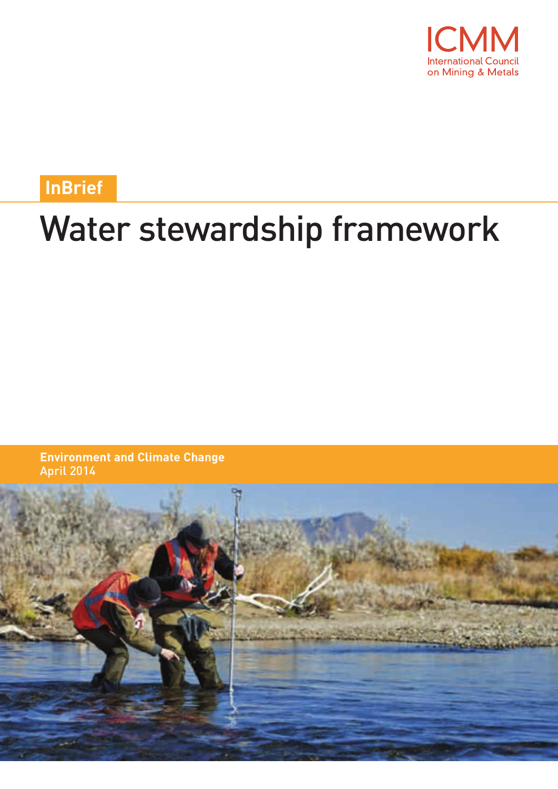

**InBrief**

# Water stewardship framework

**Environment and Climate Change** April 2014

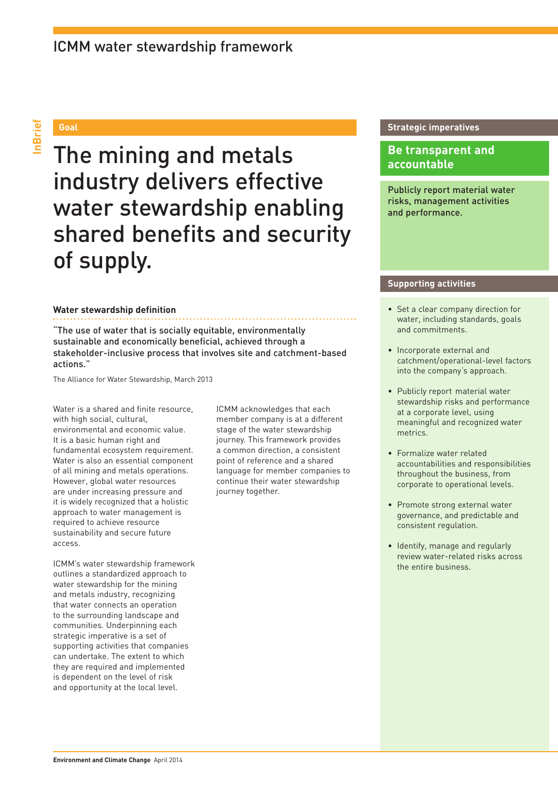## ICMM water stewardship framework

The mining and metals industry delivers effective water stewardship enabling shared benefits and security of supply.

#### **Water stewardship definition**

"The use of water that is socially equitable, environmentally sustainable and economically beneficial, achieved through a stakeholder-inclusive process that involves site and catchment-based actions."

The Alliance for Water Stewardship, March 2013

Water is a shared and finite resource. with high social, cultural, environmental and economic value. It is a basic human right and fundamental ecosystem requirement. Water is also an essential component of all mining and metals operations. However, global water resources are under increasing pressure and it is widely recognized that a holistic approach to water management is required to achieve resource sustainability and secure future access.

ICMM's water stewardship framework outlines a standardized approach to water stewardship for the mining and metals industry, recognizing that water connects an operation to the surrounding landscape and communities. Underpinning each strategic imperative is a set of supporting activities that companies can undertake. The extent to which they are required and implemented is dependent on the level of risk and opportunity at the local level.

ICMM acknowledges that each member company is at a different stage of the water stewardship journey. This framework provides a common direction, a consistent point of reference and a shared language for member companies to continue their water stewardship journey together.

#### **Goal Strategic imperatives**

### **Be transparent and accountable**

Publicly report material water risks, management activities and performance.

#### **Supporting activities**

- Set a clear company direction for water, including standards, goals and commitments.
- Incorporate external and catchment/operational-level factors into the company's approach.
- Publicly report material water stewardship risks and performance at a corporate level, using meaningful and recognized water metrics.
- Formalize water related accountabilities and responsibilities throughout the business, from corporate to operational levels.
- Promote strong external water governance, and predictable and consistent regulation.
- Identify, manage and regularly review water-related risks across the entire business.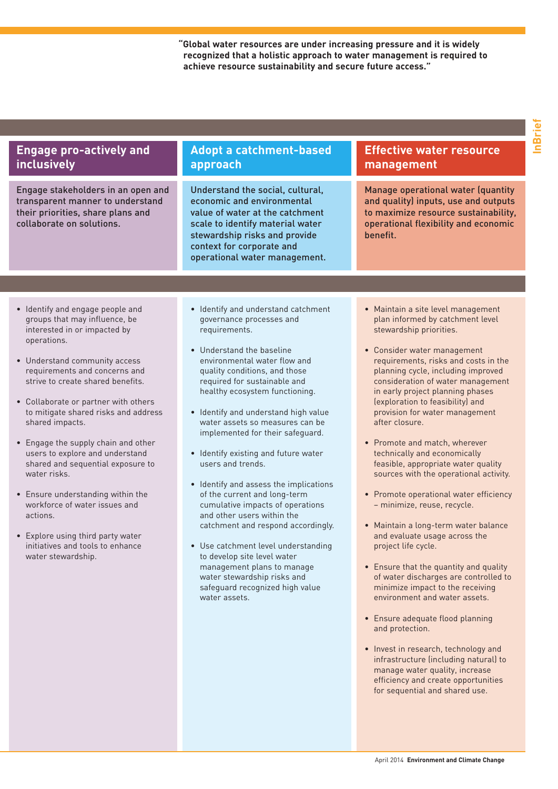**"Global water resources are under increasing pressure and it is widely recognized that a holistic approach to water management is required to achieve resource sustainability and secure future access."**

| <b>Engage pro-actively and</b><br>inclusively                                                                                                                                                                                                                                                                                                                                                                                                                                                                                                                                                                                              | <b>Adopt a catchment-based</b><br>approach                                                                                                                                                                                                                                                                                                                                                                                                                                                                                                                                                                                                                                                                                                                                                            | <b>Effective water resource</b><br>management                                                                                                                                                                                                                                                                                                                                                                                                                                                                                                                                                                                                                                                                                                                                                                                                                                                                                                                     |
|--------------------------------------------------------------------------------------------------------------------------------------------------------------------------------------------------------------------------------------------------------------------------------------------------------------------------------------------------------------------------------------------------------------------------------------------------------------------------------------------------------------------------------------------------------------------------------------------------------------------------------------------|-------------------------------------------------------------------------------------------------------------------------------------------------------------------------------------------------------------------------------------------------------------------------------------------------------------------------------------------------------------------------------------------------------------------------------------------------------------------------------------------------------------------------------------------------------------------------------------------------------------------------------------------------------------------------------------------------------------------------------------------------------------------------------------------------------|-------------------------------------------------------------------------------------------------------------------------------------------------------------------------------------------------------------------------------------------------------------------------------------------------------------------------------------------------------------------------------------------------------------------------------------------------------------------------------------------------------------------------------------------------------------------------------------------------------------------------------------------------------------------------------------------------------------------------------------------------------------------------------------------------------------------------------------------------------------------------------------------------------------------------------------------------------------------|
| Engage stakeholders in an open and<br>transparent manner to understand<br>their priorities, share plans and<br>collaborate on solutions.                                                                                                                                                                                                                                                                                                                                                                                                                                                                                                   | Understand the social, cultural,<br>economic and environmental<br>value of water at the catchment<br>scale to identify material water<br>stewardship risks and provide<br>context for corporate and<br>operational water management.                                                                                                                                                                                                                                                                                                                                                                                                                                                                                                                                                                  | Manage operational water (quantity<br>and quality) inputs, use and outputs<br>to maximize resource sustainability,<br>operational flexibility and economic<br>benefit.                                                                                                                                                                                                                                                                                                                                                                                                                                                                                                                                                                                                                                                                                                                                                                                            |
|                                                                                                                                                                                                                                                                                                                                                                                                                                                                                                                                                                                                                                            |                                                                                                                                                                                                                                                                                                                                                                                                                                                                                                                                                                                                                                                                                                                                                                                                       |                                                                                                                                                                                                                                                                                                                                                                                                                                                                                                                                                                                                                                                                                                                                                                                                                                                                                                                                                                   |
| · Identify and engage people and<br>groups that may influence, be<br>interested in or impacted by<br>operations.<br>• Understand community access<br>requirements and concerns and<br>strive to create shared benefits.<br>• Collaborate or partner with others<br>to mitigate shared risks and address<br>shared impacts.<br>• Engage the supply chain and other<br>users to explore and understand<br>shared and sequential exposure to<br>water risks.<br>• Ensure understanding within the<br>workforce of water issues and<br>actions.<br>• Explore using third party water<br>initiatives and tools to enhance<br>water stewardship. | • Identify and understand catchment<br>governance processes and<br>requirements.<br>• Understand the baseline<br>environmental water flow and<br>quality conditions, and those<br>required for sustainable and<br>healthy ecosystem functioning.<br>• Identify and understand high value<br>water assets so measures can be<br>implemented for their safeguard.<br>• Identify existing and future water<br>users and trends.<br>• Identify and assess the implications<br>of the current and long-term<br>cumulative impacts of operations<br>and other users within the<br>catchment and respond accordingly.<br>• Use catchment level understanding<br>to develop site level water<br>management plans to manage<br>water stewardship risks and<br>safeguard recognized high value<br>water assets. | • Maintain a site level management<br>plan informed by catchment level<br>stewardship priorities.<br>• Consider water management<br>requirements, risks and costs in the<br>planning cycle, including improved<br>consideration of water management<br>in early project planning phases<br>(exploration to feasibility) and<br>provision for water management<br>after closure.<br>• Promote and match, wherever<br>technically and economically<br>feasible, appropriate water quality<br>sources with the operational activity.<br>• Promote operational water efficiency<br>- minimize, reuse, recycle.<br>• Maintain a long-term water balance<br>and evaluate usage across the<br>project life cycle.<br>• Ensure that the quantity and quality<br>of water discharges are controlled to<br>minimize impact to the receiving<br>environment and water assets.<br>• Ensure adequate flood planning<br>and protection.<br>• Invest in research, technology and |
|                                                                                                                                                                                                                                                                                                                                                                                                                                                                                                                                                                                                                                            |                                                                                                                                                                                                                                                                                                                                                                                                                                                                                                                                                                                                                                                                                                                                                                                                       | infrastructure (including natural) to<br>manage water quality, increase<br>efficiency and create opportunities<br>for sequential and shared use.                                                                                                                                                                                                                                                                                                                                                                                                                                                                                                                                                                                                                                                                                                                                                                                                                  |